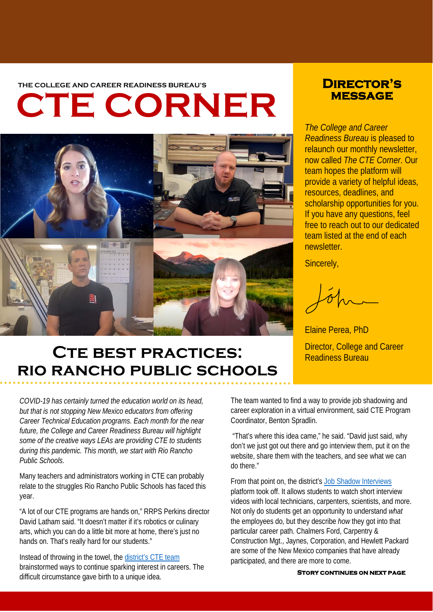THE COLLEGE AND CAREER READINESS BUREAU'S **DIRECTOR'S** 

# **CTE CORNER**



# **message**

*The College and Career Readiness Bureau* is pleased to relaunch our monthly newsletter, now called *The CTE Corner*. Our team hopes the platform will provide a variety of helpful ideas, resources, deadlines, and scholarship opportunities for you. If you have any questions, feel free to reach out to our dedicated team listed at the end of each newsletter.

Sincerely,

Elaine Perea, PhD

# CTE BEST PRACTICES: **Director, College and Career CTE BEST PRACTICES**: **rio rancho public schools**

*COVID-19 has certainly turned the education world on its head, but that is not stopping New Mexico educators from offering Career Technical Education programs. Each month for the near future, the College and Career Readiness Bureau will highlight some of the creative ways LEAs are providing CTE to students during this pandemic. This month, we start with Rio Rancho Public Schools.*

Many teachers and administrators working in CTE can probably relate to the struggles Rio Rancho Public Schools has faced this year.

"A lot of our CTE programs are hands on," RRPS Perkins director David Latham said. "It doesn't matter if it's robotics or culinary arts, which you can do a little bit more at home, there's just no hands on. That's really hard for our students."

Instead of throwing in the towel, the [district's CTE team](https://sites.google.com/rrps.net/rrps-cte/home/job-shadowing-internships) brainstormed ways to continue sparking interest in careers. The difficult circumstance gave birth to a unique idea.

The team wanted to find a way to provide job shadowing and career exploration in a virtual environment, said CTE Program Coordinator, Benton Spradlin.

"That's where this idea came," he said. "David just said, why don't we just got out there and go interview them, put it on the website, share them with the teachers, and see what we can do there."

From that point on, the district'[s Job Shadow Interviews](https://sites.google.com/rrps.net/rrps-cte/home/job-shadowing-internships) platform took off. It allows students to watch short interview videos with local technicians, carpenters, scientists, and more. Not only do students get an opportunity to understand *what* the employees do, but they describe *how* they got into that particular career path. Chalmers Ford, Carpentry & Construction Mgt., Jaynes, Corporation, and Hewlett Packard are some of the New Mexico companies that have already participated, and there are more to come.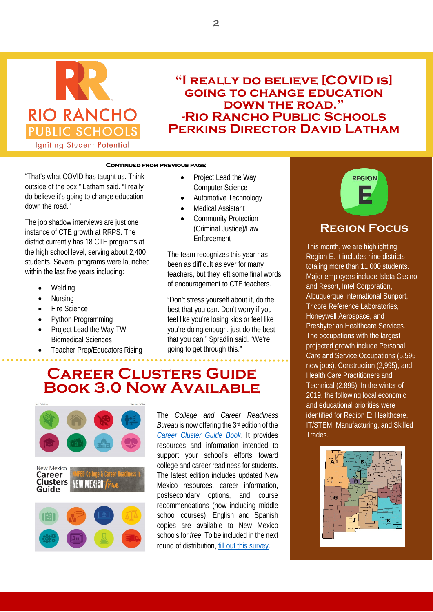

### **"I really do believe [COVID is] going to change education down the road." -Rio Rancho Public Schools Perkins Director David Latham**

#### **Continued from previous page**

"That's what COVID has taught us. Think outside of the box," Latham said. "I really do believe it's going to change education down the road."

The job shadow interviews are just one instance of CTE growth at RRPS. The district currently has 18 CTE programs at the high school level, serving about 2,400 students. Several programs were launched within the last five years including:

- **Welding**
- Nursing
- **Fire Science**
- Python Programming
- Project Lead the Way TW Biomedical Sciences
- Teacher Prep/Educators Rising
- Project Lead the Way Computer Science
- Automotive Technology
- **Medical Assistant**
- Community Protection (Criminal Justice)/Law Enforcement

The team recognizes this year has been as difficult as ever for many teachers, but they left some final words of encouragement to CTE teachers.

"Don't stress yourself about it, do the best that you can. Don't worry if you feel like you're losing kids or feel like you're doing enough, just do the best that you can," Spradlin said. "We're going to get through this."

### **Career Clusters Guide Book 3.0 Now Available**



The *College and Career Readiness Bureau* is now offering the 3rd edition of the *[Career Cluster Guide Book](https://webnew.ped.state.nm.us/wp-content/uploads/2020/10/10-9-20-State-NM-CCGB-2020.pdf)*. It provides resources and information intended to support your school's efforts toward college and career readiness for students. The latest edition includes updated New Mexico resources, career information, postsecondary options, and course recommendations (now including middle school courses). English and Spanish copies are available to New Mexico schools for *free*. To be included in the next round of distribution, [fill out this survey.](https://www.surveymonkey.com/r/R9VVTGP)



#### **Region Focus**

This month, we are highlighting Region E. It includes nine districts totaling more than 11,000 students. Major employers include Isleta Casino and Resort, Intel Corporation, Albuquerque International Sunport, Tricore Reference Laboratories, Honeywell Aerospace, and Presbyterian Healthcare Services. The occupations with the largest projected growth include Personal Care and Service Occupations (5,595 new jobs), Construction (2,995), and Health Care Practitioners and Technical (2,895). In the winter of 2019, the following local economic and educational priorities were identified for Region E: Healthcare, IT/STEM, Manufacturing, and Skilled Trades.

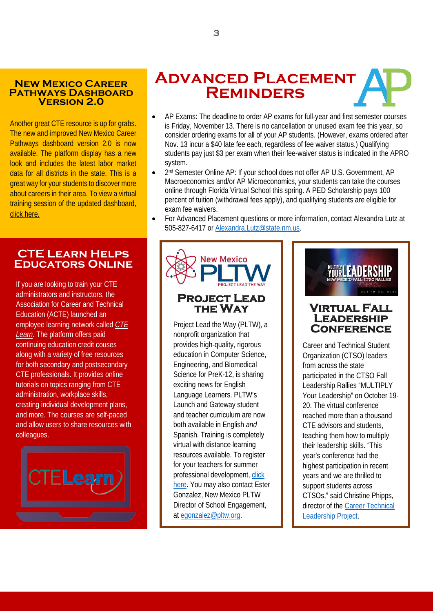#### **New Mexico Career Pathways Dashboard Version 2.0**

Another great CTE resource is up for grabs. The new and improved New Mexico Career Pathways dashboard version 2.0 is now available. The platform display has a new look and includes the latest labor market data for all districts in the state. This is a great way for your students to discover more about careers in their area. To view a virtual training session of the updated dashboard, [click here.](https://youtu.be/SGB7hALEyWo)

#### **CTE Learn Helps Educators Online**

If you are looking to train your CTE administrators and instructors, the Association for Career and Technical Education (ACTE) launched an employee learning network called *[CTE](https://www.ctelearn.org/)*  [Learn.](https://www.ctelearn.org/) The platform offers paid continuing education credit couses along with a variety of free resources for both secondary and postsecondary CTE professionals. It provides online tutorials on topics ranging from CTE administration, workplace skills, creating individual development plans, and more. The courses are self-paced and allow users to share resources with colleagues.



## **Advanced Placement Reminders**

- $\overline{A}$  AP Existence here  $\overline{A}$ • AP Exams: The deadline to order AP exams for full-year and first semester courses is Friday, November 13. There is no cancellation or unused exam fee this year, so consider ordering exams for all of your AP students. (However, exams ordered after Nov. 13 incur a \$40 late fee each, regardless of fee waiver status.) Qualifying students pay just \$3 per exam when their fee-waiver status is indicated in the APRO system.
	- 2<sup>nd</sup> Semester Online AP: If your school does not offer AP U.S. Government, AP Macroeconomics and/or AP Microeconomics, your students can take the courses online through Florida Virtual School this spring. A PED Scholarship pays 100 percent of tuition (withdrawal fees apply), and qualifying students are eligible for exam fee waivers.
	- For Advanced Placement questions or more information, contact Alexandra Lutz at 505-827-6417 or [Alexandra.Lutz@state.nm.us.](mailto:Alexandra.Lutz@state.nm.us)



nonprofit organization that provides high-quality, rigorous education in Computer Science, Engineering, and Biomedical Science for PreK-12, is sharing exciting news for English Language Learners. PLTW's Launch and Gateway student and teacher curriculum are now both available in English *and* Spanish. Training is completely virtual with distance learning resources available. To register for your teachers for summer professional development, [click](https://protect-us.mimecast.com/s/EMO1C73wZvIQ1KWWfWteCY?domain=pltw.org/)  [here.](https://protect-us.mimecast.com/s/EMO1C73wZvIQ1KWWfWteCY?domain=pltw.org/) You may also contact Ester Gonzalez, New Mexico PLTW Director of School Engagement, at [egonzalez@pltw.org.](mailto:egonzalez@pltw.org)



Career and Technical Student Organization (CTSO) leaders from across the state participated in the CTSO Fall Leadership Rallies "MULTIPLY Your Leadership" on October 19- 20. The virtual conference reached more than a thousand CTE advisors and students, teaching them how to multiply their leadership skills. "This year's conference had the highest participation in recent years and we are thrilled to support students across CTSOs," said Christine Phipps, director of the [Career Technical](http://nmctso.com/)  [Leadership Project.](http://nmctso.com/)